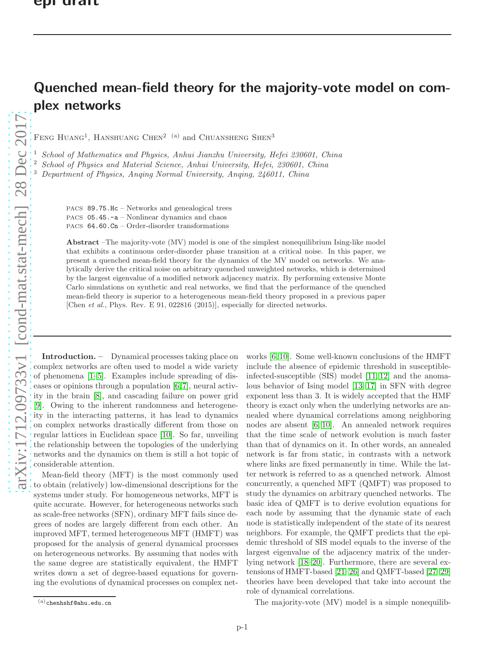## Quenched mean-field theory for the majority-vote model on complex networks

FENG HUANG<sup>1</sup>, HANSHUANG CHEN<sup>2 (a)</sup> and CHUANSHENG SHEN<sup>3</sup>

<sup>1</sup> School of Mathematics and Physics, Anhui Jianzhu University, Hefei 230601, China

<sup>2</sup> School of Physics and Material Science, Anhui University, Hefei, 230601, China

<sup>3</sup> Department of Physics, Anqing Normal University, Anqing, 246011, China

PACS 89.75.Hc – Networks and genealogical trees PACS 05.45.-a – Nonlinear dynamics and chaos PACS 64.60.Cn – Order-disorder transformations

Abstract –The majority-vote (MV) model is one of the simplest nonequilibrium Ising-like model that exhibits a continuous order-disorder phase transition at a critical noise. In this paper, we present a quenched mean-field theory for the dynamics of the MV model on networks. We analytically derive the critical noise on arbitrary quenched unweighted networks, which is determined by the largest eigenvalue of a modified network adjacency matrix. By performing extensive Monte Carlo simulations on synthetic and real networks, we find that the performance of the quenched mean-field theory is superior to a heterogeneous mean-field theory proposed in a previous paper [Chen *et al.*, Phys. Rev. E 91, 022816 (2015)], especially for directed networks.

Introduction. – Dynamical processes taking place on complex networks are often used to model a wide variety of phenomena [\[1](#page-4-0)[–5\]](#page-4-1). Examples include spreading of diseases or opinions through a population [\[6,](#page-4-2)[7\]](#page-4-3), neural activity in the brain [\[8\]](#page-4-4), and cascading failure on power grid [\[9\]](#page-4-5). Owing to the inherent randomness and heterogeneity in the interacting patterns, it has lead to dynamics on complex networks drastically different from those on regular lattices in Euclidean space [\[10\]](#page-4-6). So far, unveiling the relationship between the topologies of the underlying networks and the dynamics on them is still a hot topic of considerable attention.

Mean-field theory (MFT) is the most commonly used to obtain (relatively) low-dimensional descriptions for the systems under study. For homogeneous networks, MFT is quite accurate. However, for heterogeneous networks such as scale-free networks (SFN), ordinary MFT fails since degrees of nodes are largely different from each other. An improved MFT, termed heterogeneous MFT (HMFT) was proposed for the analysis of general dynamical processes on heterogeneous networks. By assuming that nodes with the same degree are statistically equivalent, the HMFT writes down a set of degree-based equations for governing the evolutions of dynamical processes on complex networks [\[6,](#page-4-2) [10\]](#page-4-6). Some well-known conclusions of the HMFT include the absence of epidemic threshold in susceptibleinfected-susceptible (SIS) model [\[11,](#page-5-0) [12\]](#page-5-1) and the anomalous behavior of Ising model [\[13](#page-5-2)[–17\]](#page-5-3) in SFN with degree exponent less than 3. It is widely accepted that the HMF theory is exact only when the underlying networks are annealed where dynamical correlations among neighboring nodes are absent [\[6,](#page-4-2) [10\]](#page-4-6). An annealed network requires that the time scale of network evolution is much faster than that of dynamics on it. In other words, an annealed network is far from static, in contrasts with a network where links are fixed permanently in time. While the latter network is referred to as a quenched network. Almost concurrently, a quenched MFT (QMFT) was proposed to study the dynamics on arbitrary quenched networks. The basic idea of QMFT is to derive evolution equations for each node by assuming that the dynamic state of each node is statistically independent of the state of its nearest neighbors. For example, the QMFT predicts that the epidemic threshold of SIS model equals to the inverse of the largest eigenvalue of the adjacency matrix of the underlying network [\[18–](#page-5-4)[20\]](#page-5-5). Furthermore, there are several extensions of HMFT-based [\[21–](#page-5-6)[26\]](#page-5-7) and QMFT-based [\[27](#page-5-8)[–29\]](#page-5-9) theories have been developed that take into account the role of dynamical correlations.

The majority-vote (MV) model is a simple nonequilib-

 $(a)$ chenhshf@ahu.edu.cn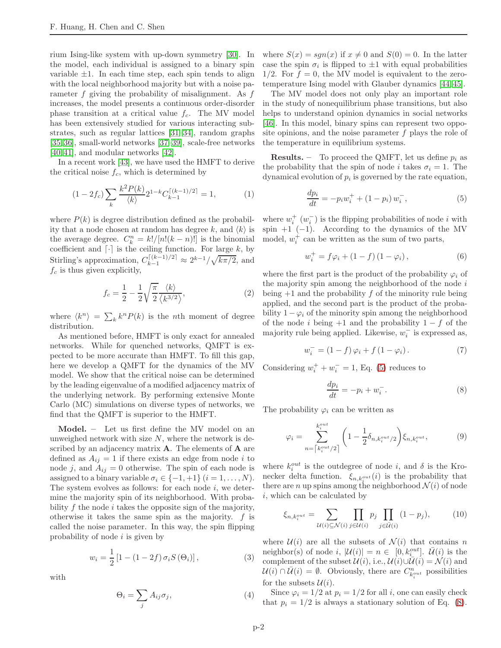rium Ising-like system with up-down symmetry [\[30\]](#page-5-10). In the model, each individual is assigned to a binary spin variable  $\pm 1$ . In each time step, each spin tends to align with the local neighborhood majority but with a noise parameter  $f$  giving the probability of misalignment. As  $f$ increases, the model presents a continuous order-disorder phase transition at a critical value  $f_c$ . The MV model has been extensively studied for various interacting substrates, such as regular lattices [\[31–](#page-5-11)[34\]](#page-5-12), random graphs [\[35,](#page-5-13) [36\]](#page-5-14), small-world networks [\[37](#page-5-15)[–39\]](#page-5-16), scale-free networks [40, 41], and modular networks [\[42\]](#page-5-17).

In a recent work [\[43\]](#page-5-18), we have used the HMFT to derive the critical noise  $f_c$ , which is determined by

<span id="page-1-4"></span>
$$
(1 - 2f_c) \sum_{k} \frac{k^2 P(k)}{\langle k \rangle} 2^{1 - k} C_{k-1}^{\lceil (k-1)/2 \rceil} = 1,\tag{1}
$$

where  $P(k)$  is degree distribution defined as the probability that a node chosen at random has degree k, and  $\langle k \rangle$  is the average degree.  $C_k^n = k!/[n!(k-n)!]$  is the binomial coefficient and  $\lceil \cdot \rceil$  is the ceiling function. For large k, by Stirling's approximation,  $C_{k-1}^{[(k-1)/2]} \approx 2^{k-1}/\sqrt{k\pi/2}$ , and  $f_c$  is thus given explicitly,

<span id="page-1-3"></span>
$$
f_c = \frac{1}{2} - \frac{1}{2} \sqrt{\frac{\pi}{2}} \frac{\langle k \rangle}{\langle k^{3/2} \rangle},\tag{2}
$$

where  $\langle k^n \rangle = \sum_k k^n P(k)$  is the *nth* moment of degree distribution.

As mentioned before, HMFT is only exact for annealed networks. While for quenched networks, QMFT is expected to be more accurate than HMFT. To fill this gap, here we develop a QMFT for the dynamics of the MV model. We show that the critical noise can be determined by the leading eigenvalue of a modified adjacency matrix of the underlying network. By performing extensive Monte Carlo (MC) simulations on diverse types of networks, we find that the QMFT is superior to the HMFT.

Model. – Let us first define the MV model on an unweighed network with size  $N$ , where the network is described by an adjacency matrix  $\bf{A}$ . The elements of  $\bf{A}$  are defined as  $A_{ij} = 1$  if there exists an edge from node i to node j, and  $A_{ij} = 0$  otherwise. The spin of each node is assigned to a binary variable  $\sigma_i \in \{-1, +1\}$   $(i = 1, \ldots, N)$ . The system evolves as follows: for each node  $i$ , we determine the majority spin of its neighborhood. With probability  $f$  the node  $i$  takes the opposite sign of the majority, otherwise it takes the same spin as the majority.  $f$  is called the noise parameter. In this way, the spin flipping probability of node  $i$  is given by

$$
w_i = \frac{1}{2} [1 - (1 - 2f) \sigma_i S(\Theta_i)],
$$
\n(3)

with

$$
\Theta_i = \sum_j A_{ij} \sigma_j,\tag{4}
$$

where  $S(x) = sgn(x)$  if  $x \neq 0$  and  $S(0) = 0$ . In the latter case the spin  $\sigma_i$  is flipped to  $\pm 1$  with equal probabilities  $1/2$ . For  $f = 0$ , the MV model is equivalent to the zerotemperature Ising model with Glauber dynamics [\[44,](#page-5-19) [45\]](#page-5-20).

The MV model does not only play an important role in the study of nonequilibrium phase transitions, but also helps to understand opinion dynamics in social networks [\[46\]](#page-5-21). In this model, binary spins can represent two opposite opinions, and the noise parameter f plays the role of the temperature in equilibrium systems.

**Results.** – To proceed the QMFT, let us define  $p_i$  as the probability that the spin of node i takes  $\sigma_i = 1$ . The dynamical evolution of  $p_i$  is governed by the rate equation,

<span id="page-1-0"></span>
$$
\frac{dp_i}{dt} = -p_i w_i^+ + (1 - p_i) w_i^-, \tag{5}
$$

where  $w_i^+$   $(w_i^-)$  is the flipping probabilities of node *i* with spin  $+1$  (-1). According to the dynamics of the MV model,  $w_i^+$  can be written as the sum of two parts,

$$
w_i^+ = f\varphi_i + (1 - f)(1 - \varphi_i), \tag{6}
$$

where the first part is the product of the probability  $\varphi_i$  of the majority spin among the neighborhood of the node  $i$ being  $+1$  and the probability f of the minority rule being applied, and the second part is the product of the probability  $1-\varphi_i$  of the minority spin among the neighborhood of the node i being  $+1$  and the probability  $1 - f$  of the majority rule being applied. Likewise,  $w_i^-$  is expressed as,

<span id="page-1-5"></span>
$$
w_i^- = (1 - f)\varphi_i + f(1 - \varphi_i). \tag{7}
$$

Considering  $w_i^+ + w_i^- = 1$ , Eq. [\(5\)](#page-1-0) reduces to

<span id="page-1-1"></span>
$$
\frac{dp_i}{dt} = -p_i + w_i^-.
$$
\n(8)

The probability  $\varphi_i$  can be written as

$$
\varphi_i = \sum_{n = \lceil k_i^{out} / 2 \rceil}^{k_i^{out}} \left( 1 - \frac{1}{2} \delta_{n, k_i^{out}/2} \right) \xi_{n, k_i^{out}}, \tag{9}
$$

where  $k_i^{out}$  is the outdegree of node i, and  $\delta$  is the Kronecker delta function.  $\xi_{n,k_i^{out}}(i)$  is the probability that there are *n* up spins among the neighborhood  $\mathcal{N}(i)$  of node i, which can be calculated by

<span id="page-1-2"></span>
$$
\xi_{n,k_i^{out}} = \sum_{\mathcal{U}(i) \subseteq \mathcal{N}(i)} \prod_{j \in \mathcal{U}(i)} p_j \prod_{j \in \bar{\mathcal{U}}(i)} (1 - p_j), \tag{10}
$$

where  $\mathcal{U}(i)$  are all the subsets of  $\mathcal{N}(i)$  that contains n neighbor(s) of node  $i, |\mathcal{U}(i)| = n \in [0, k_i^{out}]$ .  $\overline{\mathcal{U}}(i)$  is the complement of the subset  $\mathcal{U}(i)$ , i.e.,  $\mathcal{U}(i) \cup \overline{\mathcal{U}}(i) = \mathcal{N}(i)$  and  $\mathcal{U}(i) \cap \overline{\mathcal{U}}(i) = \emptyset$ . Obviously, there are  $C_{k_i^{out}}^n$  possibilities for the subsets  $\mathcal{U}(i)$ .

Since  $\varphi_i = 1/2$  at  $p_i = 1/2$  for all i, one can easily check that  $p_i = 1/2$  is always a stationary solution of Eq. [\(8\)](#page-1-1).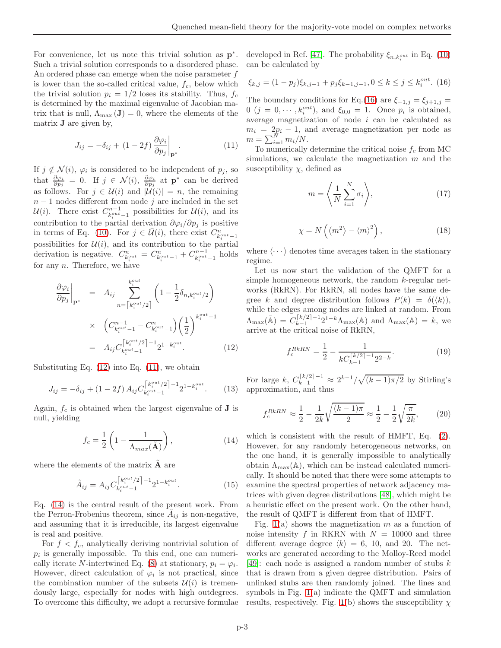For convenience, let us note this trivial solution as  $p^*$ . Such a trivial solution corresponds to a disordered phase. An ordered phase can emerge when the noise parameter  $f$ is lower than the so-called critical value,  $f_c$ , below which the trivial solution  $p_i = 1/2$  loses its stability. Thus,  $f_c$ is determined by the maximal eigenvalue of Jacobian matrix that is null,  $\Lambda_{\text{max}}(\mathbf{J})=0$ , where the elements of the matrix J are given by,

<span id="page-2-1"></span>
$$
J_{ij} = -\delta_{ij} + (1 - 2f) \frac{\partial \varphi_i}{\partial p_j}\Big|_{\mathbf{p}^*}.
$$
 (11)

If  $j \notin \mathcal{N}(i)$ ,  $\varphi_i$  is considered to be independent of  $p_j$ , so that  $\frac{\partial \varphi_i}{\partial p_j} = 0$ . If  $j \in \mathcal{N}(i)$ ,  $\frac{\partial \varphi_i}{\partial p_j}$  at  $\mathbf{p}^*$  can be derived as follows. For  $j \in \mathcal{U}(i)$  and  $|\mathcal{U}(i)| = n$ , the remaining  $n-1$  nodes different from node j are included in the set  $\mathcal{U}(i)$ . There exist  $C_{k_i^{out}-1}^{n-1}$  possibilities for  $\mathcal{U}(i)$ , and its contribution to the partial derivation  $\partial \varphi_i / \partial p_j$  is positive in terms of Eq. [\(10\)](#page-1-2). For  $j \in \bar{\mathcal{U}}(i)$ , there exist  $C_{k_i^{out}-1}^n$ possibilities for  $\mathcal{U}(i)$ , and its contribution to the partial derivation is negative.  $C_{k_i^{out}}^n = C_{k_i^{out}-1}^n + C_{k_i^{out}-1}^{n-1}$  holds for any  $n$ . Therefore, we have

<span id="page-2-0"></span>
$$
\frac{\partial \varphi_i}{\partial p_j}\Big|_{\mathbf{p}^*} = A_{ij} \sum_{n=\lceil k_i^{out}/2 \rceil}^{k_i^{out}} \left(1 - \frac{1}{2} \delta_{n,k_i^{out}/2}\right)
$$

$$
\times \left(C_{k_i^{out}-1}^{n-1} - C_{k_i^{out}-1}^n\right) \left(\frac{1}{2}\right)^{k_i^{out}-1}
$$

$$
= A_{ij} C_{k_i^{out}-1}^{\lceil k_i^{out}/2 \rceil - 1} 2^{1 - k_i^{out}}.
$$
(12)

Substituting Eq. [\(12\)](#page-2-0) into Eq. [\(11\)](#page-2-1), we obtain

$$
J_{ij} = -\delta_{ij} + (1 - 2f) A_{ij} C_{k_i^{out}-1}^{\lceil k_i^{out}/2 \rceil - 1} 2^{1 - k_i^{out}}.
$$
 (13)

Again,  $f_c$  is obtained when the largest eigenvalue of **J** is null, yielding

<span id="page-2-2"></span>
$$
f_c = \frac{1}{2} \left( 1 - \frac{1}{\Lambda_{max}(\tilde{\mathbf{A}})} \right), \tag{14}
$$

where the elements of the matrix  $\ddot{\mathbf{A}}$  are

$$
\tilde{A}_{ij} = A_{ij} C_{k_i^{out}-1}^{\lceil k_i^{out}/2 \rceil - 1} 2^{1 - k_i^{out}}.
$$
\n(15)

Eq. [\(14\)](#page-2-2) is the central result of the present work. From the Perron-Frobenius theorem, since  $\tilde{A}_{ij}$  is non-negative, and assuming that it is irreducible, its largest eigenvalue is real and positive.

For  $f < f_c$ , analytically deriving nontrivial solution of  $p_i$  is generally impossible. To this end, one can numeri-cally iterate N-intertwined Eq. [\(8\)](#page-1-1) at stationary,  $p_i = \varphi_i$ . However, direct calculation of  $\varphi_i$  is not practical, since the combination number of the subsets  $\mathcal{U}(i)$  is tremendously large, especially for nodes with high outdegrees. To overcome this difficulty, we adopt a recursive formulae

developed in Ref. [\[47\]](#page-5-22). The probability  $\xi_{n,k_i^{out}}$  in Eq. [\(10\)](#page-1-2) can be calculated by

<span id="page-2-3"></span>
$$
\xi_{k,j} = (1 - p_j)\xi_{k,j-1} + p_j\xi_{k-1,j-1}, 0 \le k \le j \le k_i^{out}.
$$
 (16)

The boundary conditions for Eq.[\(16\)](#page-2-3) are  $\xi_{-1,j} = \xi_{j+1,j}$  $0 \ (j = 0, \dots, k_i^{out})$ , and  $\xi_{0,0} = 1$ . Once  $p_i$  is obtained, average magnetization of node i can be calculated as  $m_i = 2p_i - 1$ , and average magnetization per node as  $m = \sum_{i=1}^{N} m_i/N$ .

To numerically determine the critical noise  $f_c$  from MC simulations, we calculate the magnetization m and the susceptibility  $\chi$ , defined as

$$
m = \left\langle \frac{1}{N} \sum_{i=1}^{N} \sigma_i \right\rangle, \tag{17}
$$

$$
\chi = N\left(\langle m^2 \rangle - \langle m \rangle^2\right),\tag{18}
$$

where  $\langle \cdots \rangle$  denotes time averages taken in the stationary regime.

Let us now start the validation of the QMFT for a simple homogeneous network, the random k-regular networks (RkRN). For RkRN, all nodes have the same degree k and degree distribution follows  $P(k) = \delta(\langle k \rangle)$ , while the edges among nodes are linked at random. From  $\Lambda_{\max}(\tilde{\mathbb{A}})\,=\,C_{k-1}^{\lceil k/2\rceil-1}$  $\lambda_{k-1}^{\lceil k/2 \rceil - 1} 2^{1-k} \Lambda_{\max}(\mathbb{A})$  and  $\Lambda_{\max}(\mathbb{A}) = k$ , we arrive at the critical noise of RkRN,

$$
f_c^{RkRN} = \frac{1}{2} - \frac{1}{kC_{k-1}^{\lceil k/2 \rceil - 1} 2^{2-k}}.
$$
 (19)

For large k,  $C_{k-1}^{\lceil k/2 \rceil - 1} \approx 2^{k-1}/\sqrt{(k-1)\pi/2}$  by Stirling's approximation, and thus

$$
f_c^{RkRN} \approx \frac{1}{2} - \frac{1}{2k} \sqrt{\frac{(k-1)\pi}{2}} \approx \frac{1}{2} - \frac{1}{2} \sqrt{\frac{\pi}{2k}},\qquad(20)
$$

which is consistent with the result of HMFT, Eq. [\(2\)](#page-1-3). However, for any randomly heterogeneous networks, on the one hand, it is generally impossible to analytically obtain  $\Lambda_{\text{max}}(\mathbb{A})$ , which can be instead calculated numerically. It should be noted that there were some attempts to examine the spectral properties of network adjacency matrices with given degree distributions [\[48\]](#page-5-23), which might be a heuristic effect on the present work. On the other hand, the result of QMFT is different from that of HMFT.

Fig. [1\(](#page-3-0)a) shows the magnetization  $m$  as a function of noise intensity f in RKRN with  $N = 10000$  and three different average degree  $\langle k \rangle = 6, 10,$  and 20. The networks are generated according to the Molloy-Reed model [\[49\]](#page-5-24): each node is assigned a random number of stubs  $k$ that is drawn from a given degree distribution. Pairs of unlinked stubs are then randomly joined. The lines and symbols in Fig. [1\(](#page-3-0)a) indicate the QMFT and simulation results, respectively. Fig. [1\(](#page-3-0)b) shows the susceptibility  $\chi$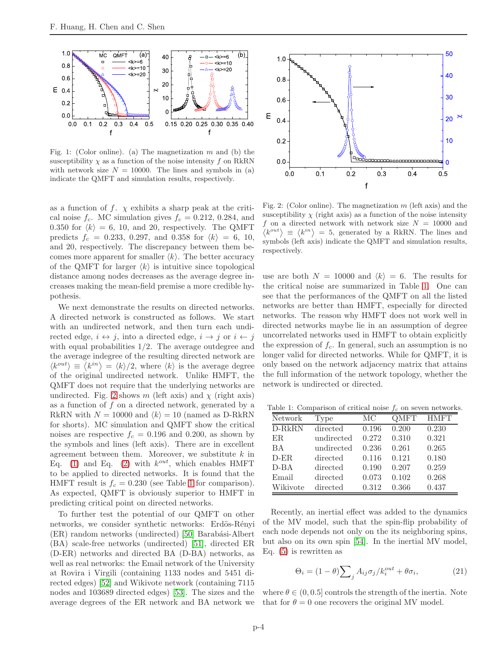

<span id="page-3-0"></span>Fig. 1: (Color online). (a) The magnetization  $m$  and (b) the susceptibility  $\chi$  as a function of the noise intensity f on RkRN with network size  $N = 10000$ . The lines and symbols in (a) indicate the QMFT and simulation results, respectively.

as a function of f.  $\chi$  exhibits a sharp peak at the critical noise  $f_c$ . MC simulation gives  $f_c = 0.212, 0.284,$  and 0.350 for  $\langle k \rangle = 6$ , 10, and 20, respectively. The QMFT predicts  $f_c = 0.233, 0.297, \text{ and } 0.358 \text{ for } \langle k \rangle = 6, 10,$ and 20, respectively. The discrepancy between them becomes more apparent for smaller  $\langle k \rangle$ . The better accuracy of the QMFT for larger  $\langle k \rangle$  is intuitive since topological distance among nodes decreases as the average degree increases making the mean-field premise a more credible hypothesis.

We next demonstrate the results on directed networks. A directed network is constructed as follows. We start with an undirected network, and then turn each undirected edge,  $i \leftrightarrow j$ , into a directed edge,  $i \rightarrow j$  or  $i \leftarrow j$ with equal probabilities  $1/2$ . The average outdegree and the average indegree of the resulting directed network are  $\langle k^{out} \rangle \equiv \langle k^{in} \rangle = \langle k \rangle/2$ , where  $\langle k \rangle$  is the average degree of the original undirected network. Unlike HMFT, the QMFT does not require that the underlying networks are undirected. Fig. [2](#page-3-1) shows m (left axis) and  $\chi$  (right axis) as a function of f on a directed network, generated by a RkRN with  $N = 10000$  and  $\langle k \rangle = 10$  (named as D-RkRN for shorts). MC simulation and QMFT show the critical noises are respective  $f_c = 0.196$  and 0.200, as shown by the symbols and lines (left axis). There are in excellent agreement between them. Moreover, we substitute  $k$  in Eq. [\(1\)](#page-1-4) and Eq. [\(2\)](#page-1-3) with  $k^{out}$ , which enables HMFT to be applied to directed networks. It is found that the HMFT result is  $f_c = 0.230$  (see Table [1](#page-3-2) for comparison). As expected, QMFT is obviously superior to HMFT in predicting critical point on directed networks.

To further test the potential of our QMFT on other networks, we consider synthetic networks: Erdös-Rényi (ER) random networks (undirected) [\[50\]](#page-5-25) Barabási-Albert (BA) scale-free networks (undirected) [\[51\]](#page-5-26), directed ER (D-ER) networks and directed BA (D-BA) networks, as well as real networks: the Email network of the University at Rovira i Virgili (containing 1133 nodes and 5451 directed edges) [\[52\]](#page-5-27) and Wikivote network (containing 7115 nodes and 103689 directed edges) [\[53\]](#page-5-28). The sizes and the average degrees of the ER network and BA network we



<span id="page-3-1"></span>Fig. 2: (Color online). The magnetization  $m$  (left axis) and the susceptibility  $\chi$  (right axis) as a function of the noise intensity  $f$  on a directed network with network size  $N = 10000$  and  $\langle k^{out} \rangle = \langle k^{in} \rangle = 5$ , generated by a RkRN. The lines and symbols (left axis) indicate the QMFT and simulation results, respectively.

use are both  $N = 10000$  and  $\langle k \rangle = 6$ . The results for the critical noise are summarized in Table [1.](#page-3-2) One can see that the performances of the QMFT on all the listed networks are better than HMFT, especially for directed networks. The reason why HMFT does not work well in directed networks maybe lie in an assumption of degree uncorrelated networks used in HMFT to obtain explicitly the expression of  $f_c$ . In general, such an assumption is no longer valid for directed networks. While for QMFT, it is only based on the network adjacency matrix that attains the full information of the network topology, whether the network is undirected or directed.

Table 1: Comparison of critical noise  $f_c$  on seven networks.

<span id="page-3-2"></span>

|          |            |       | $\mathbf{r}$ |             |
|----------|------------|-------|--------------|-------------|
| Network  | Type       | MC    | QMFT         | <b>HMFT</b> |
| $D-RkRN$ | directed   | 0.196 | 0.200        | 0.230       |
| ER.      | undirected | 0.272 | 0.310        | 0.321       |
| BA       | undirected | 0.236 | 0.261        | 0.265       |
| $D$ -ER  | directed   | 0.116 | 0.121        | 0.180       |
| $D-BA$   | directed   | 0.190 | 0.207        | 0.259       |
| Email    | directed   | 0.073 | 0.102        | 0.268       |
| Wikivote | directed   | 0.312 | 0.366        | 0.437       |

Recently, an inertial effect was added to the dynamics of the MV model, such that the spin-flip probability of each node depends not only on the its neighboring spins, but also on its own spin [\[54\]](#page-5-29). In the inertial MV model, Eq. [\(5\)](#page-1-0) is rewritten as

<span id="page-3-3"></span>
$$
\Theta_i = (1 - \theta) \sum_j A_{ij} \sigma_j / k_i^{out} + \theta \sigma_i, \qquad (21)
$$

where  $\theta \in (0, 0.5]$  controls the strength of the inertia. Note that for  $\theta = 0$  one recovers the original MV model.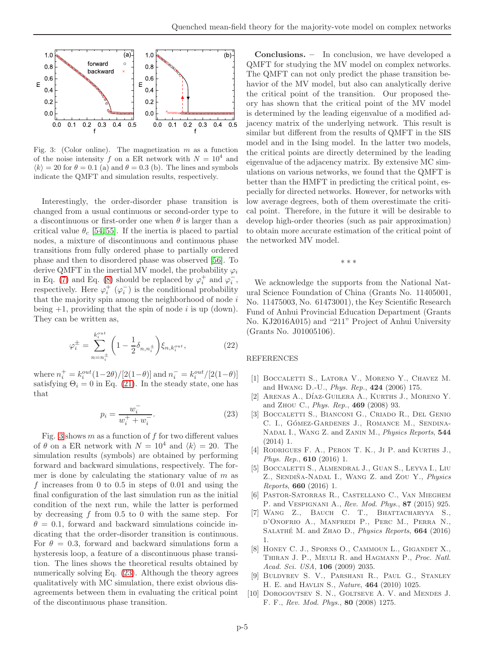

<span id="page-4-7"></span>Fig. 3: (Color online). The magnetization  $m$  as a function of the noise intensity f on a ER network with  $N = 10^4$  and  $\langle k \rangle = 20$  for  $\theta = 0.1$  (a) and  $\theta = 0.3$  (b). The lines and symbols indicate the QMFT and simulation results, respectively.

Interestingly, the order-disorder phase transition is changed from a usual continuous or second-order type to a discontinuous or first-order one when  $\theta$  is larger than a critical value  $\theta_c$  [\[54,](#page-5-29) [55\]](#page-5-30). If the inertia is placed to partial nodes, a mixture of discontinuous and continuous phase transitions from fully ordered phase to partially ordered phase and then to disordered phase was observed [\[56\]](#page-5-31). To derive QMFT in the inertial MV model, the probability  $\varphi_i$ in Eq. [\(7\)](#page-1-5) and Eq. [\(8\)](#page-1-1) should be replaced by  $\varphi_i^+$  and  $\varphi_i^-$ , respectively. Here  $\varphi_i^+$   $(\varphi_i^-)$  is the conditional probability that the majority spin among the neighborhood of node  $i$ being  $+1$ , providing that the spin of node *i* is up (down). They can be written as,

$$
\varphi_i^{\pm} = \sum_{n=n_i^{\pm}}^{k_i^{out}} \left( 1 - \frac{1}{2} \delta_{n,n_i^{\pm}} \right) \xi_{n,k_i^{out}},
$$
 (22)

where  $n_i^+ = k_i^{out} (1 - 2\theta) / [2(1 - \theta)]$  and  $n_i^- = k_i^{out} / [2(1 - \theta)]$ satisfying  $\Theta_i = 0$  in Eq. [\(21\)](#page-3-3). In the steady state, one has that

<span id="page-4-8"></span>
$$
p_i = \frac{w_i^-}{w_i^+ + w_i^-}.\tag{23}
$$

Fig. [3](#page-4-7) shows  $m$  as a function of  $f$  for two different values of  $\theta$  on a ER network with  $N = 10^4$  and  $\langle k \rangle = 20$ . The simulation results (symbols) are obtained by performing forward and backward simulations, respectively. The former is done by calculating the stationary value of  $m$  as f increases from  $0$  to  $0.5$  in steps of  $0.01$  and using the final configuration of the last simulation run as the initial condition of the next run, while the latter is performed by decreasing  $f$  from 0.5 to 0 with the same step. For  $\theta = 0.1$ , forward and backward simulations coincide indicating that the order-disorder transition is continuous. For  $\theta = 0.3$ , forward and backward simulations form a hysteresis loop, a feature of a discontinuous phase transition. The lines shows the theoretical results obtained by numerically solving Eq. [\(23\)](#page-4-8). Although the theory agrees qualitatively with MC simulation, there exist obvious disagreements between them in evaluating the critical point of the discontinuous phase transition.

Conclusions. – In conclusion, we have developed a QMFT for studying the MV model on complex networks. The QMFT can not only predict the phase transition behavior of the MV model, but also can analytically derive the critical point of the transition. Our proposed theory has shown that the critical point of the MV model is determined by the leading eigenvalue of a modified adjacency matrix of the underlying network. This result is similar but different from the results of QMFT in the SIS model and in the Ising model. In the latter two models, the critical points are directly determined by the leading eigenvalue of the adjacency matrix. By extensive MC simulations on various networks, we found that the QMFT is better than the HMFT in predicting the critical point, especially for directed networks. However, for networks with low average degrees, both of them overestimate the critical point. Therefore, in the future it will be desirable to develop high-order theories (such as pair approximation) to obtain more accurate estimation of the critical point of the networked MV model.

∗ ∗ ∗

We acknowledge the supports from the National Natural Science Foundation of China (Grants No. 11405001, No. 11475003, No. 61473001), the Key Scientific Research Fund of Anhui Provincial Education Department (Grants No. KJ2016A015) and "211" Project of Anhui University (Grants No. J01005106).

## REFERENCES

- <span id="page-4-0"></span>[1] Boccaletti S., Latora V., Moreno Y., Chavez M. and Hwang D.-U., *Phys. Rep.*, 424 (2006) 175.
- [2] ARENAS A., DÍAZ-GUILERA A., KURTHS J., MORENO Y. and Zhou C., *Phys. Rep.*, 469 (2008) 93.
- [3] Boccaletti S., Bianconi G., Criado R., Del Genio C. I., GÓMEZ-GARDENES J., ROMANCE M., SENDINA-Nadal I., Wang Z. and Zanin M., *Physics Reports*, 544 (2014) 1.
- [4] RODRIGUES F. A., PERON T. K., JI P. and KURTHS J., *Phys. Rep.*, 610 (2016) 1.
- <span id="page-4-1"></span>[5] Boccaletti S., Almendral J., Guan S., Leyva I., Liu Z., SENDIÑA-NADAL I., WANG Z. and ZOU Y., *Physics Reports*, 660 (2016) 1.
- <span id="page-4-2"></span>[6] Pastor-Satorras R., Castellano C., Van Mieghem P. and Vespignani A., *Rev. Mod. Phys.*, 87 (2015) 925.
- <span id="page-4-3"></span>[7] Wang Z., Bauch C. T., Bhattacharyya S., d'Onofrio A., Manfredi P., Perc M., Perra N., Salath´e M. and Zhao D., *Physics Reports*, 664 (2016) 1.
- <span id="page-4-4"></span>[8] Honey C. J., Sporns O., Cammoun L., Gigandet X., Thiran J. P., Meuli R. and Hagmann P., *Proc. Natl. Acad. Sci. USA*, 106 (2009) 2035.
- <span id="page-4-5"></span>[9] Buldyrev S. V., Parshani R., Paul G., Stanley H. E. and Havlin S., *Nature*, 464 (2010) 1025.
- <span id="page-4-6"></span>[10] DOROGOVTSEV S. N., GOLTSEVE A. V. and MENDES J. F. F., *Rev. Mod. Phys.*, 80 (2008) 1275.